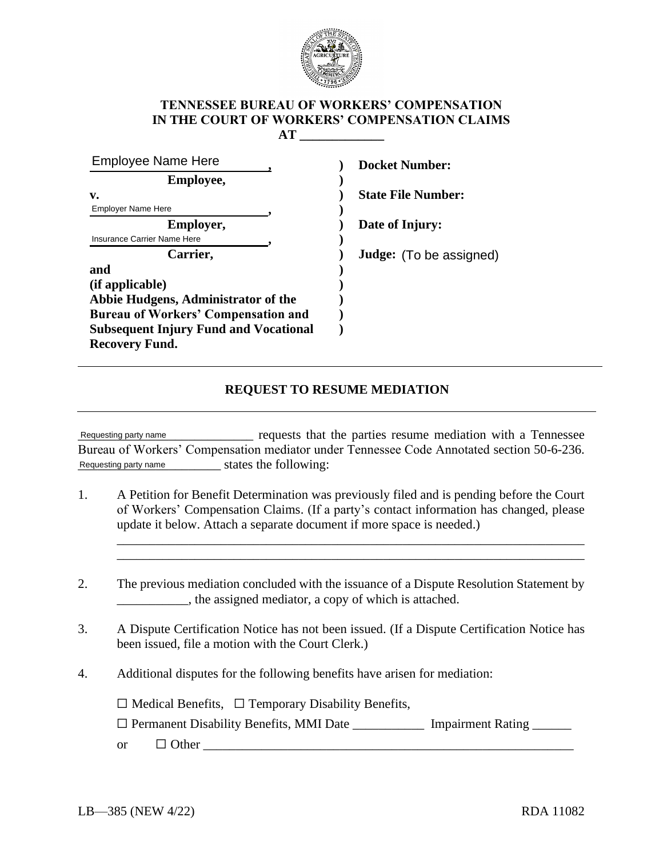

## **TENNESSEE BUREAU OF WORKERS' COMPENSATION IN THE COURT OF WORKERS' COMPENSATION CLAIMS AT \_\_\_\_\_\_\_\_\_\_\_\_\_**

| <b>Employee Name Here</b>                    | <b>Docket Number:</b>     |
|----------------------------------------------|---------------------------|
| <b>Employee,</b>                             |                           |
| v.                                           | <b>State File Number:</b> |
| <b>Employer Name Here</b>                    |                           |
| Employer,                                    | Date of Injury:           |
| Insurance Carrier Name Here                  |                           |
| Carrier,                                     | Judge: (To be assigned)   |
| and                                          |                           |
| (if applicable)                              |                           |
| Abbie Hudgens, Administrator of the          |                           |
| <b>Bureau of Workers' Compensation and</b>   |                           |
| <b>Subsequent Injury Fund and Vocational</b> |                           |
| <b>Recovery Fund.</b>                        |                           |

## **REQUEST TO RESUME MEDIATION**

\_\_\_\_\_\_\_\_\_\_\_\_\_\_\_\_\_\_\_\_\_\_\_\_\_\_\_ requests that the parties resume mediation with a Tennessee Bureau of Workers' Compensation mediator under Tennessee Code Annotated section 50-6-236. Requesting party name states the following: Requesting party name

1. A Petition for Benefit Determination was previously filed and is pending before the Court of Workers' Compensation Claims. (If a party's contact information has changed, please update it below. Attach a separate document if more space is needed.)

\_\_\_\_\_\_\_\_\_\_\_\_\_\_\_\_\_\_\_\_\_\_\_\_\_\_\_\_\_\_\_\_\_\_\_\_\_\_\_\_\_\_\_\_\_\_\_\_\_\_\_\_\_\_\_\_\_\_\_\_\_\_\_\_\_\_\_\_\_\_\_\_ \_\_\_\_\_\_\_\_\_\_\_\_\_\_\_\_\_\_\_\_\_\_\_\_\_\_\_\_\_\_\_\_\_\_\_\_\_\_\_\_\_\_\_\_\_\_\_\_\_\_\_\_\_\_\_\_\_\_\_\_\_\_\_\_\_\_\_\_\_\_\_\_

- 2. The previous mediation concluded with the issuance of a Dispute Resolution Statement by \_\_\_\_\_\_\_\_\_\_\_, the assigned mediator, a copy of which is attached.
- 3. A Dispute Certification Notice has not been issued. (If a Dispute Certification Notice has been issued, file a motion with the Court Clerk.)
- 4. Additional disputes for the following benefits have arisen for mediation:

 $\Box$  Medical Benefits,  $\Box$  Temporary Disability Benefits,

□ Permanent Disability Benefits, MMI Date \_\_\_\_\_\_\_\_\_\_\_\_\_ Impairment Rating \_\_\_\_\_\_

or  $\Box$  Other